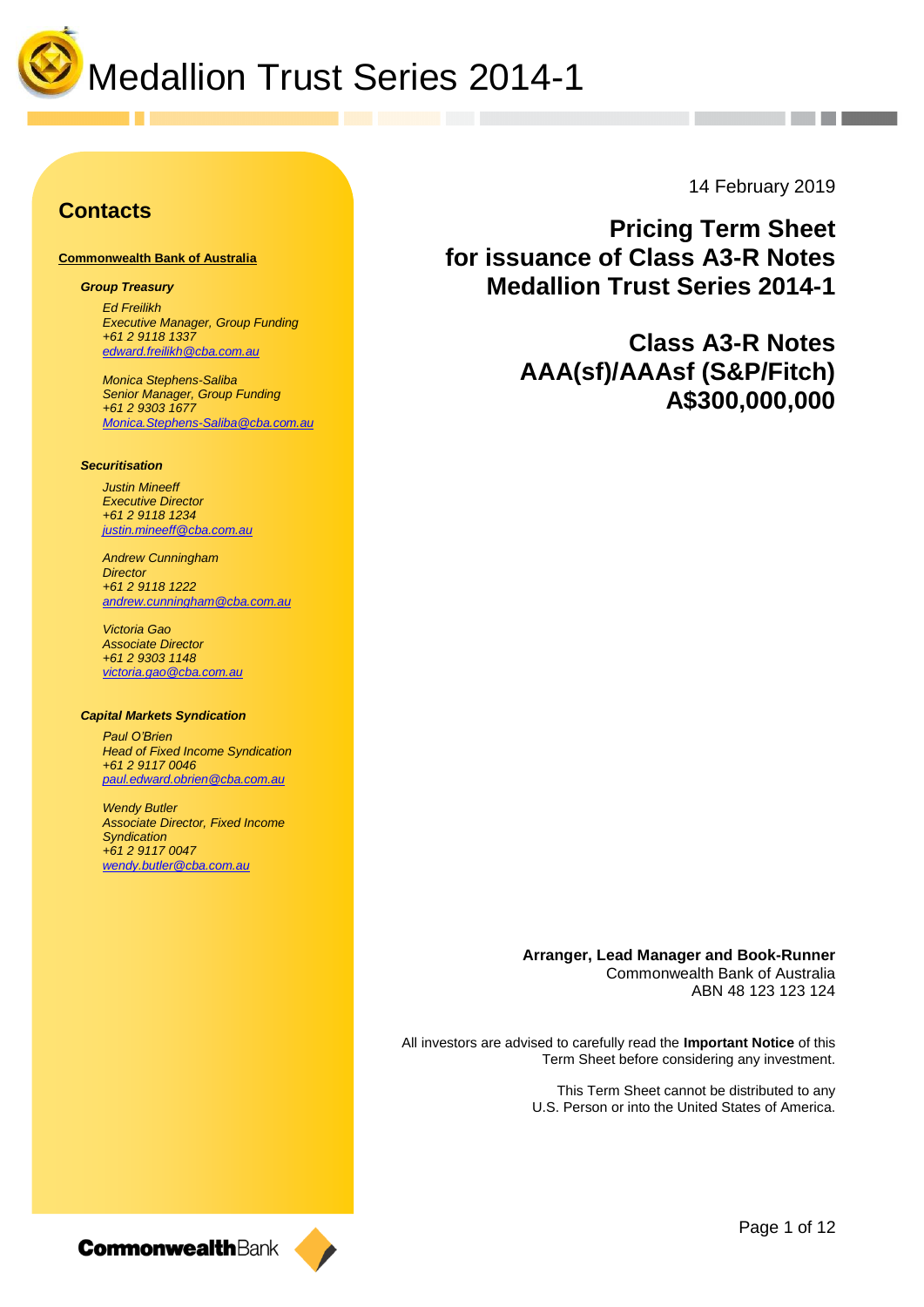

### **Contacts**

#### **Commonwealth Bank of Australia**

#### *Group Treasury*

*Ed Freilikh Executive Manager, Group Funding +61 2 9118 1337 [edward.freilikh@cba.com.au](mailto:edward.freilikh@cba.com.au)*

*Monica Stephens-Saliba Senior Manager, Group Funding +61 2 9303 1677 [Monica.Stephens-Saliba@cba.com.au](mailto:Monica.Stephens-Saliba@cba.com.au)*

#### *Securitisation*

*Justin Mineeff Executive Director +61 2 9118 1234 [justin.mineeff@cba.com.au](mailto:justin.mineeff@cba.com.au)*

*Andrew Cunningham Director +61 2 9118 1222 [andrew.cunningham@cba.com.au](mailto:ernest.biasi@cba.com.au)*

*Victoria Gao Associate Director +61 2 9303 1148 [victoria.gao@cba.com.au](mailto:victoria.gao@cba.com.au)*

#### *Capital Markets Syndication*

*Paul O'Brien Head of Fixed Income Syndication +61 2 9117 0046 [paul.edward.obrien@cba.com.au](mailto:paul.edward.obrien@cba.com.au)*

*Wendy Butler Associate Director, Fixed Income Syndication +61 2 9117 0047 wendy.butler@cba.com.au*

14 February 2019

**Pricing Term Sheet for issuance of Class A3-R Notes Medallion Trust Series 2014-1**

> **Class A3-R Notes AAA(sf)/AAAsf (S&P/Fitch) A\$300,000,000**

**Arranger, Lead Manager and Book-Runner** Commonwealth Bank of Australia ABN 48 123 123 124

All investors are advised to carefully read the **Important Notice** of this Term Sheet before considering any investment.

> This Term Sheet cannot be distributed to any U.S. Person or into the United States of America.

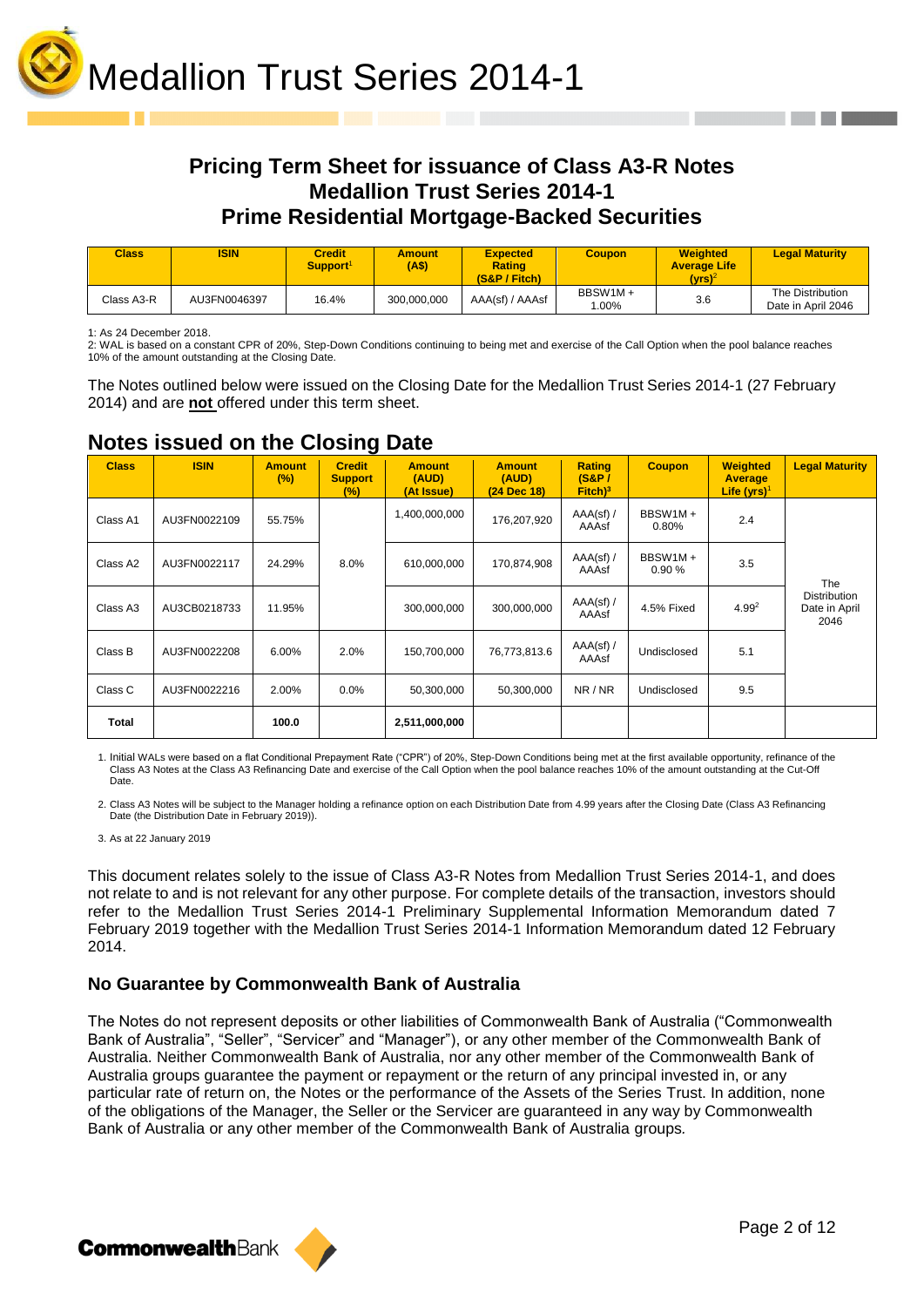

### **Pricing Term Sheet for issuance of Class A3-R Notes Medallion Trust Series 2014-1 Prime Residential Mortgage-Backed Securities**

| <b>Class</b> | <b>ISIN</b>  | <b>Credit</b><br>Support <sup>1</sup> | <b>Amount</b><br>(A\$) | <b>Expected</b><br><b>Rating</b><br>$(S&P /$ Fitch) | Coupon             | <b>Weighted</b><br><b>Average Life</b><br>(vrs) <sup>2</sup> | <b>Legal Maturity</b>                  |
|--------------|--------------|---------------------------------------|------------------------|-----------------------------------------------------|--------------------|--------------------------------------------------------------|----------------------------------------|
| Class A3-R   | AU3FN0046397 | 16.4%                                 | 300,000,000            | AAA(sf) / AAAsf                                     | BBSW1M+<br>$.00\%$ | 3.6                                                          | The Distribution<br>Date in April 2046 |

1: As 24 December 2018.

2: WAL is based on a constant CPR of 20%, Step-Down Conditions continuing to being met and exercise of the Call Option when the pool balance reaches 10% of the amount outstanding at the Closing Date.

The Notes outlined below were issued on the Closing Date for the Medallion Trust Series 2014-1 (27 February 2014) and are **not** offered under this term sheet.

| <b>Class</b>         | <b>ISIN</b>  | <b>Amount</b><br>(%) | $\tilde{\phantom{a}}$<br><b>Credit</b><br><b>Support</b><br>$(\%)$ | <b>Amount</b><br>(AUD)<br>(At Issue) | <b>Amount</b><br>(AUD)<br>(24 Dec 18) | Rating<br>$(S\&P)$<br>$Fitch)^3$ | <b>Coupon</b>    | <b>Weighted</b><br>Average<br>Life $(yrs)^1$ | <b>Legal Maturity</b>                        |
|----------------------|--------------|----------------------|--------------------------------------------------------------------|--------------------------------------|---------------------------------------|----------------------------------|------------------|----------------------------------------------|----------------------------------------------|
| Class A1             | AU3FN0022109 | 55.75%               |                                                                    | 1,400,000,000                        | 176,207,920                           | $AAA(sf)$ /<br>AAAsf             | BBSW1M+<br>0.80% | 2.4                                          |                                              |
| Class A2             | AU3FN0022117 | 24.29%               | 8.0%                                                               | 610,000,000                          | 170,874,908                           | $AAA(sf)$ /<br>AAAsf             | BBSW1M+<br>0.90% | 3.5                                          | The                                          |
| Class A <sub>3</sub> | AU3CB0218733 | 11.95%               |                                                                    | 300,000,000                          | 300,000,000                           | $AAA(sf)$ /<br>AAAsf             | 4.5% Fixed       | $4.99^{2}$                                   | <b>Distribution</b><br>Date in April<br>2046 |
| Class B              | AU3FN0022208 | 6.00%                | 2.0%                                                               | 150,700,000                          | 76,773,813.6                          | $AAA(st)$ /<br>AAAsf             | Undisclosed      | 5.1                                          |                                              |
| Class C              | AU3FN0022216 | 2.00%                | 0.0%                                                               | 50,300,000                           | 50,300,000                            | NR/NR                            | Undisclosed      | 9.5                                          |                                              |
| <b>Total</b>         |              | 100.0                |                                                                    | 2,511,000,000                        |                                       |                                  |                  |                                              |                                              |

### **Notes issued on the Closing Date**

1. Initial WALs were based on a flat Conditional Prepayment Rate ("CPR") of 20%, Step-Down Conditions being met at the first available opportunity, refinance of the Class A3 Notes at the Class A3 Refinancing Date and exercise of the Call Option when the pool balance reaches 10% of the amount outstanding at the Cut-Off Date.

2. Class A3 Notes will be subject to the Manager holding a refinance option on each Distribution Date from 4.99 years after the Closing Date (Class A3 Refinancing Date (the Distribution Date in February 2019)).

3. As at 22 January 2019

This document relates solely to the issue of Class A3-R Notes from Medallion Trust Series 2014-1, and does not relate to and is not relevant for any other purpose. For complete details of the transaction, investors should refer to the Medallion Trust Series 2014-1 Preliminary Supplemental Information Memorandum dated 7 February 2019 together with the Medallion Trust Series 2014-1 Information Memorandum dated 12 February 2014.

#### **No Guarantee by Commonwealth Bank of Australia**

The Notes do not represent deposits or other liabilities of Commonwealth Bank of Australia ("Commonwealth Bank of Australia", "Seller", "Servicer" and "Manager"), or any other member of the Commonwealth Bank of Australia. Neither Commonwealth Bank of Australia, nor any other member of the Commonwealth Bank of Australia groups guarantee the payment or repayment or the return of any principal invested in, or any particular rate of return on, the Notes or the performance of the Assets of the Series Trust. In addition, none of the obligations of the Manager, the Seller or the Servicer are guaranteed in any way by Commonwealth Bank of Australia or any other member of the Commonwealth Bank of Australia groups*.*

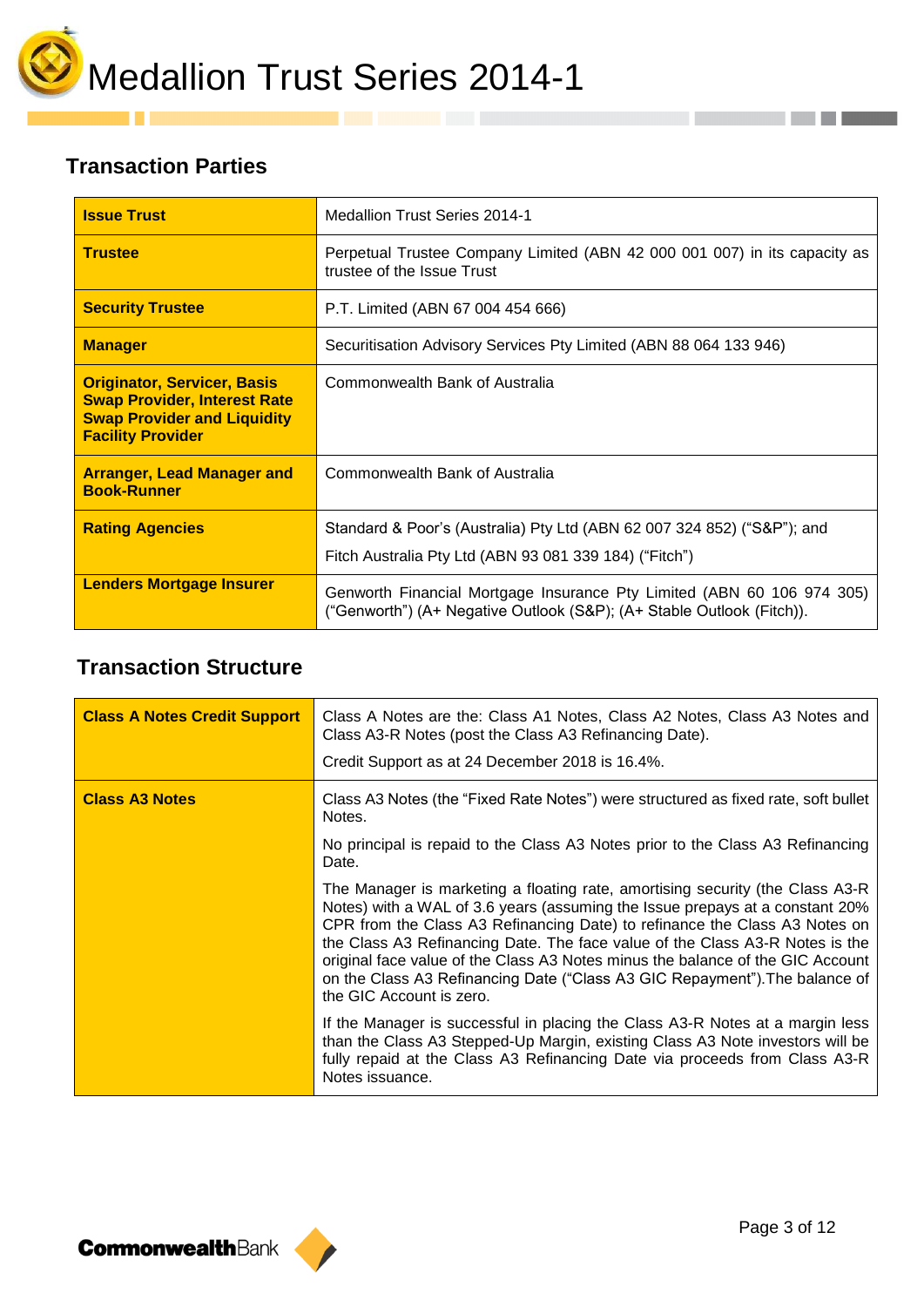

# **Transaction Parties**

u a

| <b>Issue Trust</b>                                                                                                                          | <b>Medallion Trust Series 2014-1</b>                                                                                                            |
|---------------------------------------------------------------------------------------------------------------------------------------------|-------------------------------------------------------------------------------------------------------------------------------------------------|
| <b>Trustee</b>                                                                                                                              | Perpetual Trustee Company Limited (ABN 42 000 001 007) in its capacity as<br>trustee of the Issue Trust                                         |
| <b>Security Trustee</b>                                                                                                                     | P.T. Limited (ABN 67 004 454 666)                                                                                                               |
| <b>Manager</b>                                                                                                                              | Securitisation Advisory Services Pty Limited (ABN 88 064 133 946)                                                                               |
| <b>Originator, Servicer, Basis</b><br><b>Swap Provider, Interest Rate</b><br><b>Swap Provider and Liquidity</b><br><b>Facility Provider</b> | Commonwealth Bank of Australia                                                                                                                  |
| <b>Arranger, Lead Manager and</b><br><b>Book-Runner</b>                                                                                     | Commonwealth Bank of Australia                                                                                                                  |
| <b>Rating Agencies</b>                                                                                                                      | Standard & Poor's (Australia) Pty Ltd (ABN 62 007 324 852) ("S&P"); and<br>Fitch Australia Pty Ltd (ABN 93 081 339 184) ("Fitch")               |
| <b>Lenders Mortgage Insurer</b>                                                                                                             | Genworth Financial Mortgage Insurance Pty Limited (ABN 60 106 974 305)<br>("Genworth") (A+ Negative Outlook (S&P); (A+ Stable Outlook (Fitch)). |

# **Transaction Structure**

| <b>Class A Notes Credit Support</b> | Class A Notes are the: Class A1 Notes, Class A2 Notes, Class A3 Notes and<br>Class A3-R Notes (post the Class A3 Refinancing Date).<br>Credit Support as at 24 December 2018 is 16.4%.                                                                                                                                                                                                                                                                                                                                    |
|-------------------------------------|---------------------------------------------------------------------------------------------------------------------------------------------------------------------------------------------------------------------------------------------------------------------------------------------------------------------------------------------------------------------------------------------------------------------------------------------------------------------------------------------------------------------------|
| <b>Class A3 Notes</b>               | Class A3 Notes (the "Fixed Rate Notes") were structured as fixed rate, soft bullet<br>Notes.                                                                                                                                                                                                                                                                                                                                                                                                                              |
|                                     | No principal is repaid to the Class A3 Notes prior to the Class A3 Refinancing<br>Date.                                                                                                                                                                                                                                                                                                                                                                                                                                   |
|                                     | The Manager is marketing a floating rate, amortising security (the Class A3-R)<br>Notes) with a WAL of 3.6 years (assuming the Issue prepays at a constant 20%<br>CPR from the Class A3 Refinancing Date) to refinance the Class A3 Notes on<br>the Class A3 Refinancing Date. The face value of the Class A3-R Notes is the<br>original face value of the Class A3 Notes minus the balance of the GIC Account<br>on the Class A3 Refinancing Date ("Class A3 GIC Repayment"). The balance of<br>the GIC Account is zero. |
|                                     | If the Manager is successful in placing the Class A3-R Notes at a margin less<br>than the Class A3 Stepped-Up Margin, existing Class A3 Note investors will be<br>fully repaid at the Class A3 Refinancing Date via proceeds from Class A3-R<br>Notes issuance.                                                                                                                                                                                                                                                           |

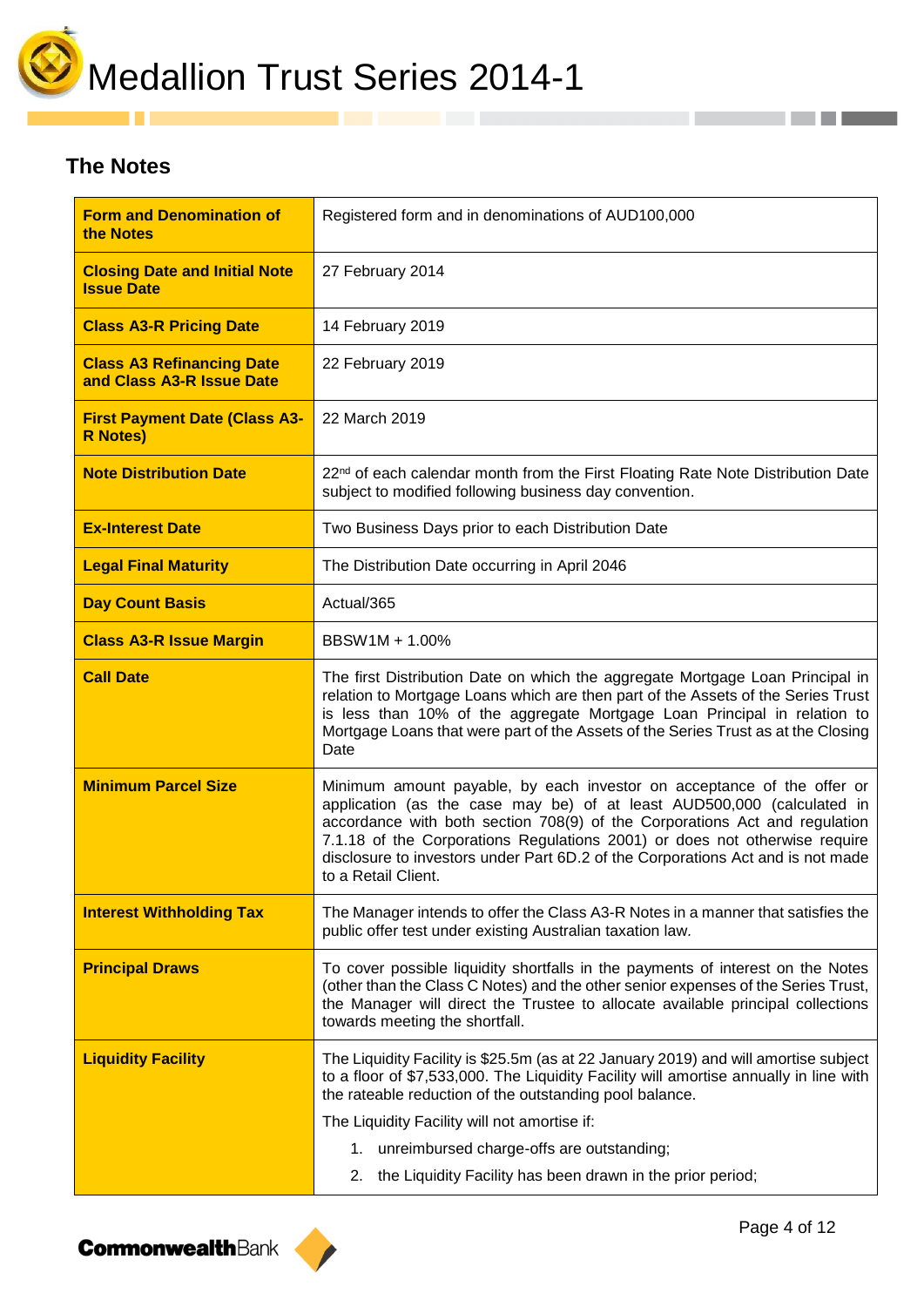

## **The Notes**

| <b>Form and Denomination of</b><br>the Notes                  | Registered form and in denominations of AUD100,000                                                                                                                                                                                                                                                                                                                                                                     |
|---------------------------------------------------------------|------------------------------------------------------------------------------------------------------------------------------------------------------------------------------------------------------------------------------------------------------------------------------------------------------------------------------------------------------------------------------------------------------------------------|
| <b>Closing Date and Initial Note</b><br><b>Issue Date</b>     | 27 February 2014                                                                                                                                                                                                                                                                                                                                                                                                       |
| <b>Class A3-R Pricing Date</b>                                | 14 February 2019                                                                                                                                                                                                                                                                                                                                                                                                       |
| <b>Class A3 Refinancing Date</b><br>and Class A3-R Issue Date | 22 February 2019                                                                                                                                                                                                                                                                                                                                                                                                       |
| <b>First Payment Date (Class A3-</b><br><b>R</b> Notes)       | 22 March 2019                                                                                                                                                                                                                                                                                                                                                                                                          |
| <b>Note Distribution Date</b>                                 | 22 <sup>nd</sup> of each calendar month from the First Floating Rate Note Distribution Date<br>subject to modified following business day convention.                                                                                                                                                                                                                                                                  |
| <b>Ex-Interest Date</b>                                       | Two Business Days prior to each Distribution Date                                                                                                                                                                                                                                                                                                                                                                      |
| <b>Legal Final Maturity</b>                                   | The Distribution Date occurring in April 2046                                                                                                                                                                                                                                                                                                                                                                          |
| <b>Day Count Basis</b>                                        | Actual/365                                                                                                                                                                                                                                                                                                                                                                                                             |
| <b>Class A3-R Issue Margin</b>                                | BBSW1M + 1.00%                                                                                                                                                                                                                                                                                                                                                                                                         |
| <b>Call Date</b>                                              | The first Distribution Date on which the aggregate Mortgage Loan Principal in<br>relation to Mortgage Loans which are then part of the Assets of the Series Trust<br>is less than 10% of the aggregate Mortgage Loan Principal in relation to<br>Mortgage Loans that were part of the Assets of the Series Trust as at the Closing<br>Date                                                                             |
| <b>Minimum Parcel Size</b>                                    | Minimum amount payable, by each investor on acceptance of the offer or<br>application (as the case may be) of at least AUD500,000 (calculated in<br>accordance with both section 708(9) of the Corporations Act and regulation<br>7.1.18 of the Corporations Regulations 2001) or does not otherwise require<br>disclosure to investors under Part 6D.2 of the Corporations Act and is not made<br>to a Retail Client. |
| <b>Interest Withholding Tax</b>                               | The Manager intends to offer the Class A3-R Notes in a manner that satisfies the<br>public offer test under existing Australian taxation law.                                                                                                                                                                                                                                                                          |
| <b>Principal Draws</b>                                        | To cover possible liquidity shortfalls in the payments of interest on the Notes<br>(other than the Class C Notes) and the other senior expenses of the Series Trust,<br>the Manager will direct the Trustee to allocate available principal collections<br>towards meeting the shortfall.                                                                                                                              |
| <b>Liquidity Facility</b>                                     | The Liquidity Facility is \$25.5m (as at 22 January 2019) and will amortise subject<br>to a floor of \$7,533,000. The Liquidity Facility will amortise annually in line with<br>the rateable reduction of the outstanding pool balance.                                                                                                                                                                                |
|                                                               | The Liquidity Facility will not amortise if:<br>1. unreimbursed charge-offs are outstanding;                                                                                                                                                                                                                                                                                                                           |
|                                                               | the Liquidity Facility has been drawn in the prior period;<br>2.                                                                                                                                                                                                                                                                                                                                                       |

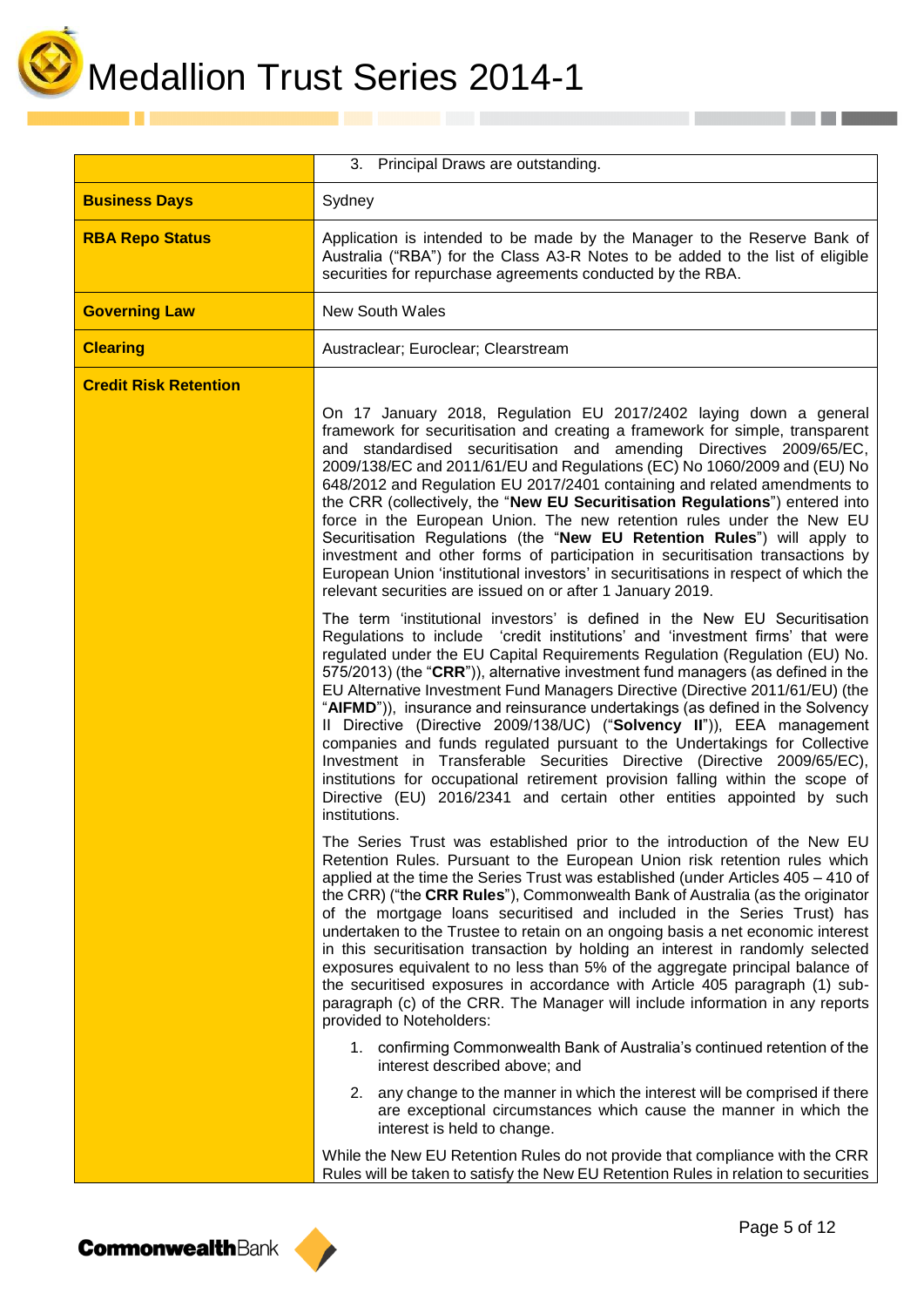

|                              | 3. Principal Draws are outstanding.                                                                                                                                                                                                                                                                                                                                                                                                                                                                                                                                                                                                                                                                                                                                                                                                                                                                          |  |
|------------------------------|--------------------------------------------------------------------------------------------------------------------------------------------------------------------------------------------------------------------------------------------------------------------------------------------------------------------------------------------------------------------------------------------------------------------------------------------------------------------------------------------------------------------------------------------------------------------------------------------------------------------------------------------------------------------------------------------------------------------------------------------------------------------------------------------------------------------------------------------------------------------------------------------------------------|--|
| <b>Business Days</b>         | Sydney                                                                                                                                                                                                                                                                                                                                                                                                                                                                                                                                                                                                                                                                                                                                                                                                                                                                                                       |  |
| <b>RBA Repo Status</b>       | Application is intended to be made by the Manager to the Reserve Bank of<br>Australia ("RBA") for the Class A3-R Notes to be added to the list of eligible<br>securities for repurchase agreements conducted by the RBA.                                                                                                                                                                                                                                                                                                                                                                                                                                                                                                                                                                                                                                                                                     |  |
| <b>Governing Law</b>         | <b>New South Wales</b>                                                                                                                                                                                                                                                                                                                                                                                                                                                                                                                                                                                                                                                                                                                                                                                                                                                                                       |  |
| <b>Clearing</b>              | Austraclear; Euroclear; Clearstream                                                                                                                                                                                                                                                                                                                                                                                                                                                                                                                                                                                                                                                                                                                                                                                                                                                                          |  |
| <b>Credit Risk Retention</b> | On 17 January 2018, Regulation EU 2017/2402 laying down a general<br>framework for securitisation and creating a framework for simple, transparent<br>and standardised securitisation and amending Directives 2009/65/EC,<br>2009/138/EC and 2011/61/EU and Regulations (EC) No 1060/2009 and (EU) No<br>648/2012 and Regulation EU 2017/2401 containing and related amendments to<br>the CRR (collectively, the "New EU Securitisation Regulations") entered into<br>force in the European Union. The new retention rules under the New EU<br>Securitisation Regulations (the "New EU Retention Rules") will apply to<br>investment and other forms of participation in securitisation transactions by<br>European Union 'institutional investors' in securitisations in respect of which the<br>relevant securities are issued on or after 1 January 2019.                                                 |  |
|                              | The term 'institutional investors' is defined in the New EU Securitisation<br>Regulations to include 'credit institutions' and 'investment firms' that were<br>regulated under the EU Capital Requirements Regulation (Regulation (EU) No.<br>575/2013) (the "CRR")), alternative investment fund managers (as defined in the<br>EU Alternative Investment Fund Managers Directive (Directive 2011/61/EU) (the<br>"AIFMD")), insurance and reinsurance undertakings (as defined in the Solvency<br>Il Directive (Directive 2009/138/UC) ("Solvency II")), EEA management<br>companies and funds regulated pursuant to the Undertakings for Collective<br>Investment in Transferable Securities Directive (Directive 2009/65/EC),<br>institutions for occupational retirement provision falling within the scope of<br>Directive (EU) 2016/2341 and certain other entities appointed by such<br>institutions. |  |
|                              | The Series Trust was established prior to the introduction of the New EU<br>Retention Rules. Pursuant to the European Union risk retention rules which<br>applied at the time the Series Trust was established (under Articles 405 - 410 of<br>the CRR) ("the CRR Rules"), Commonwealth Bank of Australia (as the originator<br>of the mortgage loans securitised and included in the Series Trust) has<br>undertaken to the Trustee to retain on an ongoing basis a net economic interest<br>in this securitisation transaction by holding an interest in randomly selected<br>exposures equivalent to no less than 5% of the aggregate principal balance of<br>the securitised exposures in accordance with Article 405 paragraph (1) sub-<br>paragraph (c) of the CRR. The Manager will include information in any reports<br>provided to Noteholders:                                                    |  |
|                              | 1. confirming Commonwealth Bank of Australia's continued retention of the<br>interest described above; and                                                                                                                                                                                                                                                                                                                                                                                                                                                                                                                                                                                                                                                                                                                                                                                                   |  |
|                              | 2. any change to the manner in which the interest will be comprised if there<br>are exceptional circumstances which cause the manner in which the<br>interest is held to change.                                                                                                                                                                                                                                                                                                                                                                                                                                                                                                                                                                                                                                                                                                                             |  |
|                              | While the New EU Retention Rules do not provide that compliance with the CRR<br>Rules will be taken to satisfy the New EU Retention Rules in relation to securities                                                                                                                                                                                                                                                                                                                                                                                                                                                                                                                                                                                                                                                                                                                                          |  |

**CommonwealthBank** 

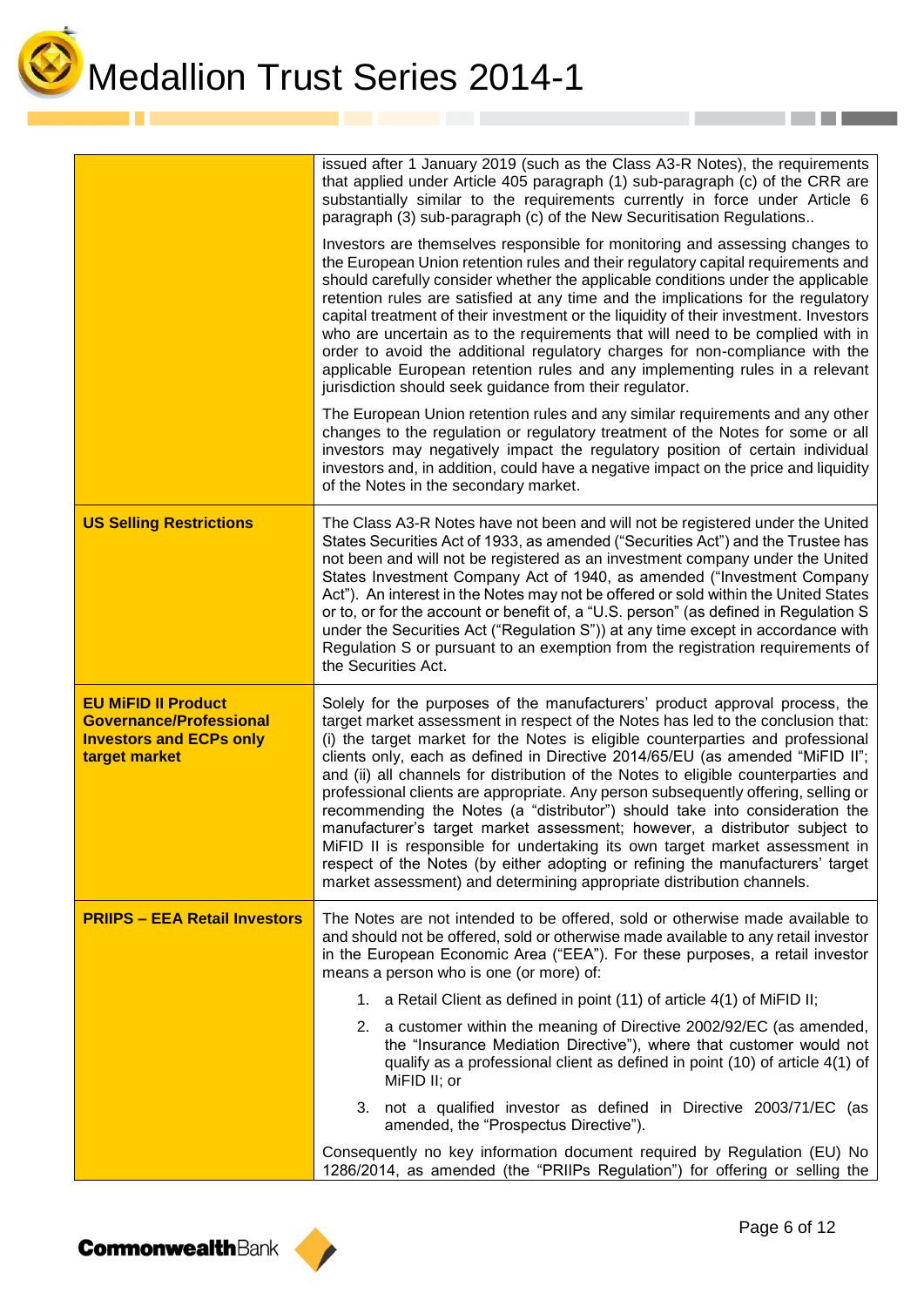

Medallion Trust Series 2014-1

|                                                                                                                 | issued after 1 January 2019 (such as the Class A3-R Notes), the requirements<br>that applied under Article 405 paragraph (1) sub-paragraph (c) of the CRR are<br>substantially similar to the requirements currently in force under Article 6<br>paragraph (3) sub-paragraph (c) of the New Securitisation Regulations                                                                                                                                                                                                                                                                                                                                                                                                                                                                                                                                                                                                 |  |
|-----------------------------------------------------------------------------------------------------------------|------------------------------------------------------------------------------------------------------------------------------------------------------------------------------------------------------------------------------------------------------------------------------------------------------------------------------------------------------------------------------------------------------------------------------------------------------------------------------------------------------------------------------------------------------------------------------------------------------------------------------------------------------------------------------------------------------------------------------------------------------------------------------------------------------------------------------------------------------------------------------------------------------------------------|--|
|                                                                                                                 | Investors are themselves responsible for monitoring and assessing changes to<br>the European Union retention rules and their regulatory capital requirements and<br>should carefully consider whether the applicable conditions under the applicable<br>retention rules are satisfied at any time and the implications for the regulatory<br>capital treatment of their investment or the liquidity of their investment. Investors<br>who are uncertain as to the requirements that will need to be complied with in<br>order to avoid the additional regulatory charges for non-compliance with the<br>applicable European retention rules and any implementing rules in a relevant<br>jurisdiction should seek guidance from their regulator.                                                                                                                                                                        |  |
|                                                                                                                 | The European Union retention rules and any similar requirements and any other<br>changes to the regulation or regulatory treatment of the Notes for some or all<br>investors may negatively impact the regulatory position of certain individual<br>investors and, in addition, could have a negative impact on the price and liquidity<br>of the Notes in the secondary market.                                                                                                                                                                                                                                                                                                                                                                                                                                                                                                                                       |  |
| <b>US Selling Restrictions</b>                                                                                  | The Class A3-R Notes have not been and will not be registered under the United<br>States Securities Act of 1933, as amended ("Securities Act") and the Trustee has<br>not been and will not be registered as an investment company under the United<br>States Investment Company Act of 1940, as amended ("Investment Company<br>Act"). An interest in the Notes may not be offered or sold within the United States<br>or to, or for the account or benefit of, a "U.S. person" (as defined in Regulation S<br>under the Securities Act ("Regulation S")) at any time except in accordance with<br>Regulation S or pursuant to an exemption from the registration requirements of<br>the Securities Act.                                                                                                                                                                                                              |  |
| <b>EU MIFID II Product</b><br><b>Governance/Professional</b><br><b>Investors and ECPs only</b><br>target market | Solely for the purposes of the manufacturers' product approval process, the<br>target market assessment in respect of the Notes has led to the conclusion that:<br>(i) the target market for the Notes is eligible counterparties and professional<br>clients only, each as defined in Directive 2014/65/EU (as amended "MiFID II";<br>and (ii) all channels for distribution of the Notes to eligible counterparties and<br>professional clients are appropriate. Any person subsequently offering, selling or<br>recommending the Notes (a "distributor") should take into consideration the<br>manufacturer's target market assessment; however, a distributor subject to<br>MiFID II is responsible for undertaking its own target market assessment in<br>respect of the Notes (by either adopting or refining the manufacturers' target<br>market assessment) and determining appropriate distribution channels. |  |
| <b>PRIIPS - EEA Retail Investors</b>                                                                            | The Notes are not intended to be offered, sold or otherwise made available to<br>and should not be offered, sold or otherwise made available to any retail investor<br>in the European Economic Area ("EEA"). For these purposes, a retail investor<br>means a person who is one (or more) of:                                                                                                                                                                                                                                                                                                                                                                                                                                                                                                                                                                                                                         |  |
|                                                                                                                 | 1. a Retail Client as defined in point (11) of article 4(1) of MiFID II;                                                                                                                                                                                                                                                                                                                                                                                                                                                                                                                                                                                                                                                                                                                                                                                                                                               |  |
|                                                                                                                 | 2. a customer within the meaning of Directive 2002/92/EC (as amended,<br>the "Insurance Mediation Directive"), where that customer would not<br>qualify as a professional client as defined in point (10) of article 4(1) of<br>MiFID II; or                                                                                                                                                                                                                                                                                                                                                                                                                                                                                                                                                                                                                                                                           |  |
|                                                                                                                 | 3. not a qualified investor as defined in Directive 2003/71/EC (as<br>amended, the "Prospectus Directive").                                                                                                                                                                                                                                                                                                                                                                                                                                                                                                                                                                                                                                                                                                                                                                                                            |  |
|                                                                                                                 | Consequently no key information document required by Regulation (EU) No<br>1286/2014, as amended (the "PRIIPs Regulation") for offering or selling the                                                                                                                                                                                                                                                                                                                                                                                                                                                                                                                                                                                                                                                                                                                                                                 |  |

**CommonwealthBank** 

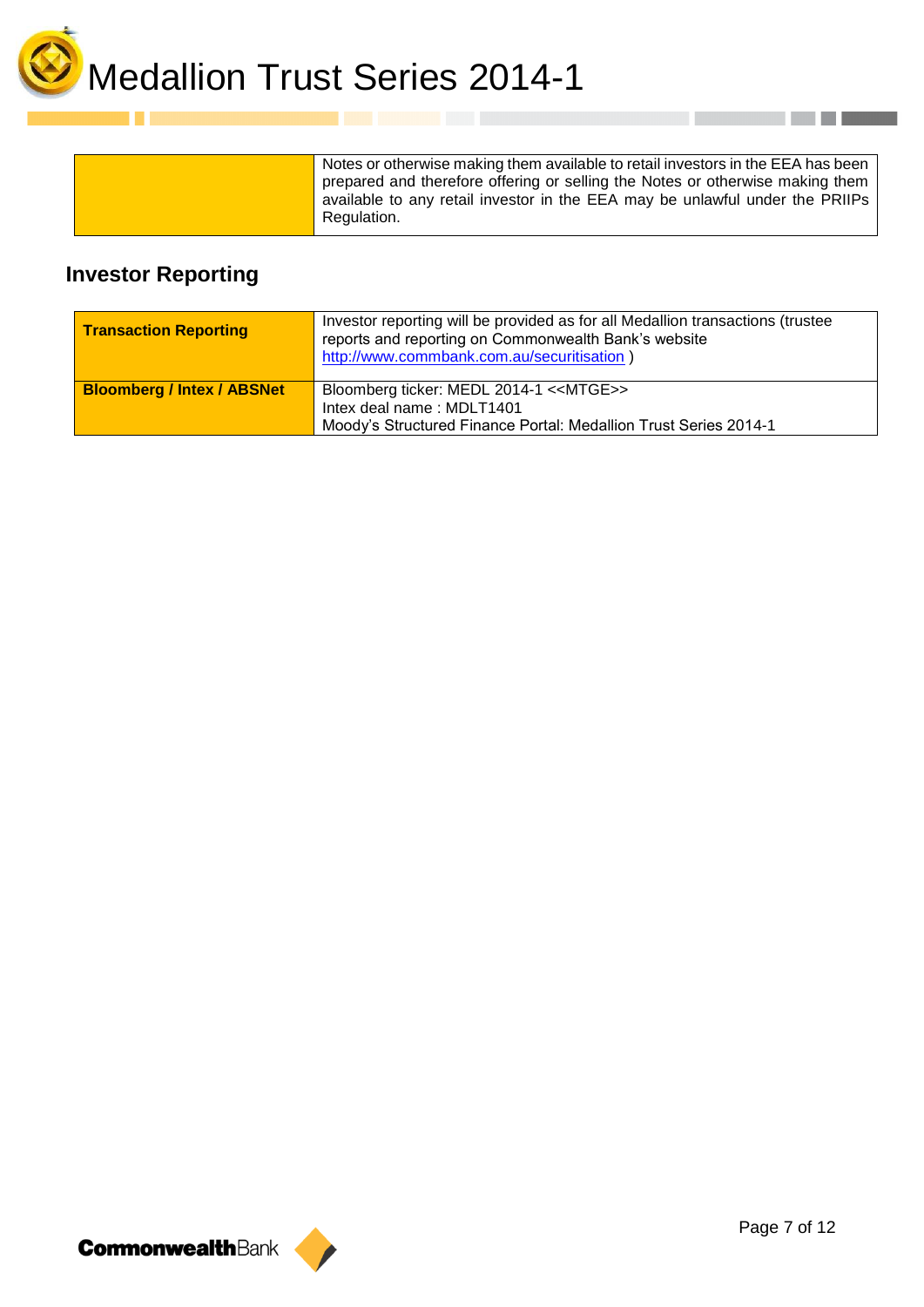

| Notes or otherwise making them available to retail investors in the EEA has been<br>prepared and therefore offering or selling the Notes or otherwise making them<br>available to any retail investor in the EEA may be unlawful under the PRIIPs<br>Regulation. |  |
|------------------------------------------------------------------------------------------------------------------------------------------------------------------------------------------------------------------------------------------------------------------|--|
|------------------------------------------------------------------------------------------------------------------------------------------------------------------------------------------------------------------------------------------------------------------|--|

## **Investor Reporting**

| <b>Transaction Reporting</b>      | Investor reporting will be provided as for all Medallion transactions (trustee<br>reports and reporting on Commonwealth Bank's website<br>http://www.commbank.com.au/securitisation) |
|-----------------------------------|--------------------------------------------------------------------------------------------------------------------------------------------------------------------------------------|
| <b>Bloomberg / Intex / ABSNet</b> | Bloomberg ticker: MEDL 2014-1 < <mtge>&gt;<br/>Intex deal name: MDLT1401<br/>Moody's Structured Finance Portal: Medallion Trust Series 2014-1</mtge>                                 |



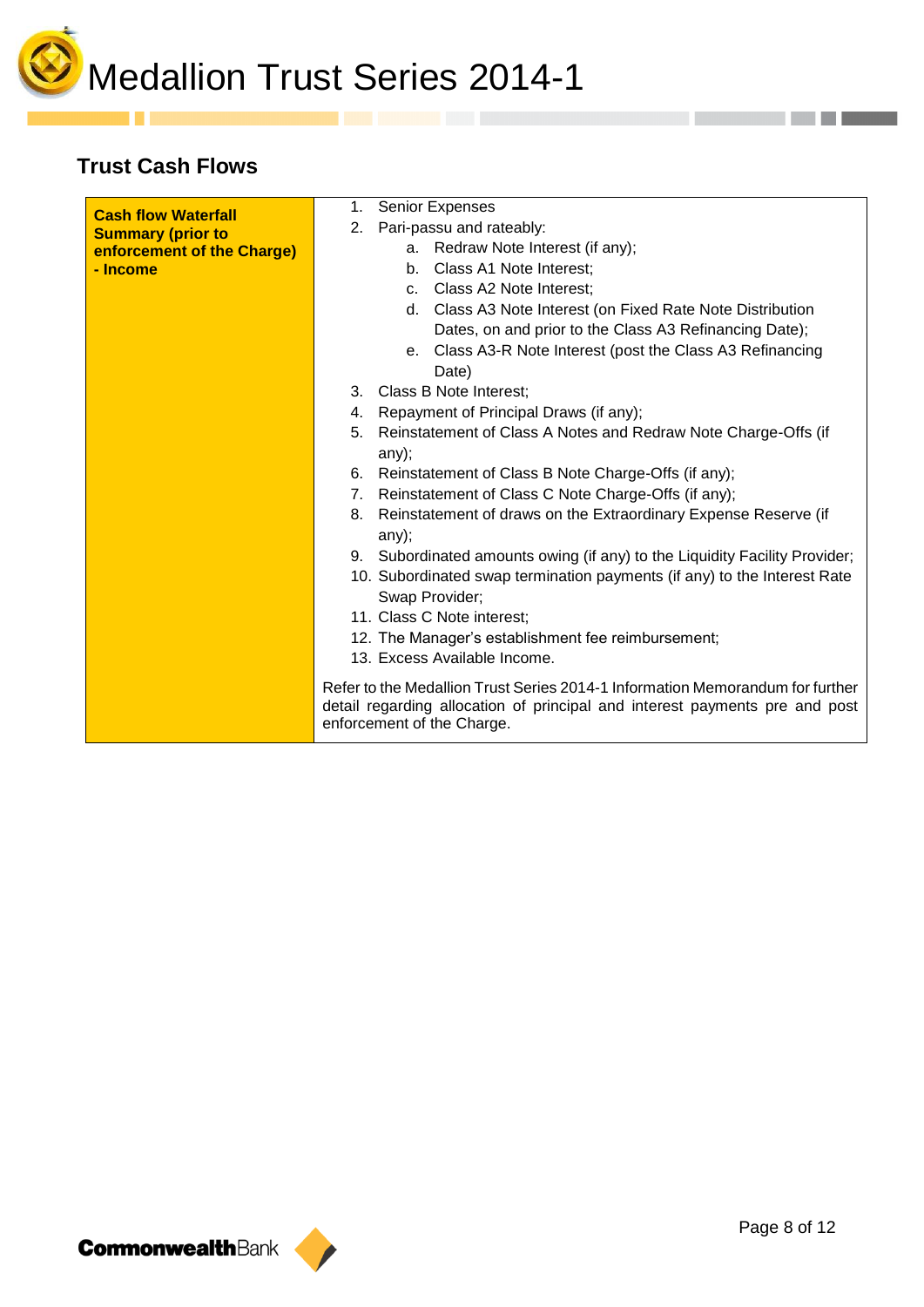

## **Trust Cash Flows**

. .

| <b>Cash flow Waterfall</b> | <b>Senior Expenses</b><br>1.                                                                                                                                                               |
|----------------------------|--------------------------------------------------------------------------------------------------------------------------------------------------------------------------------------------|
| <b>Summary (prior to</b>   | Pari-passu and rateably:<br>2.                                                                                                                                                             |
| enforcement of the Charge) | a. Redraw Note Interest (if any);                                                                                                                                                          |
| - Income                   | Class A1 Note Interest;<br>b.                                                                                                                                                              |
|                            | c. Class A2 Note Interest;                                                                                                                                                                 |
|                            | d. Class A3 Note Interest (on Fixed Rate Note Distribution                                                                                                                                 |
|                            | Dates, on and prior to the Class A3 Refinancing Date);                                                                                                                                     |
|                            | e. Class A3-R Note Interest (post the Class A3 Refinancing                                                                                                                                 |
|                            | Date)                                                                                                                                                                                      |
|                            | Class B Note Interest;<br>3.                                                                                                                                                               |
|                            | Repayment of Principal Draws (if any);<br>4.                                                                                                                                               |
|                            | Reinstatement of Class A Notes and Redraw Note Charge-Offs (if<br>5.<br>any);                                                                                                              |
|                            | Reinstatement of Class B Note Charge-Offs (if any);<br>6.                                                                                                                                  |
|                            | Reinstatement of Class C Note Charge-Offs (if any);<br>7.                                                                                                                                  |
|                            | Reinstatement of draws on the Extraordinary Expense Reserve (if<br>8.<br>any);                                                                                                             |
|                            | 9. Subordinated amounts owing (if any) to the Liquidity Facility Provider;                                                                                                                 |
|                            | 10. Subordinated swap termination payments (if any) to the Interest Rate                                                                                                                   |
|                            | Swap Provider;                                                                                                                                                                             |
|                            | 11. Class C Note interest;                                                                                                                                                                 |
|                            | 12. The Manager's establishment fee reimbursement;                                                                                                                                         |
|                            | 13. Excess Available Income.                                                                                                                                                               |
|                            | Refer to the Medallion Trust Series 2014-1 Information Memorandum for further<br>detail regarding allocation of principal and interest payments pre and post<br>enforcement of the Charge. |
|                            |                                                                                                                                                                                            |



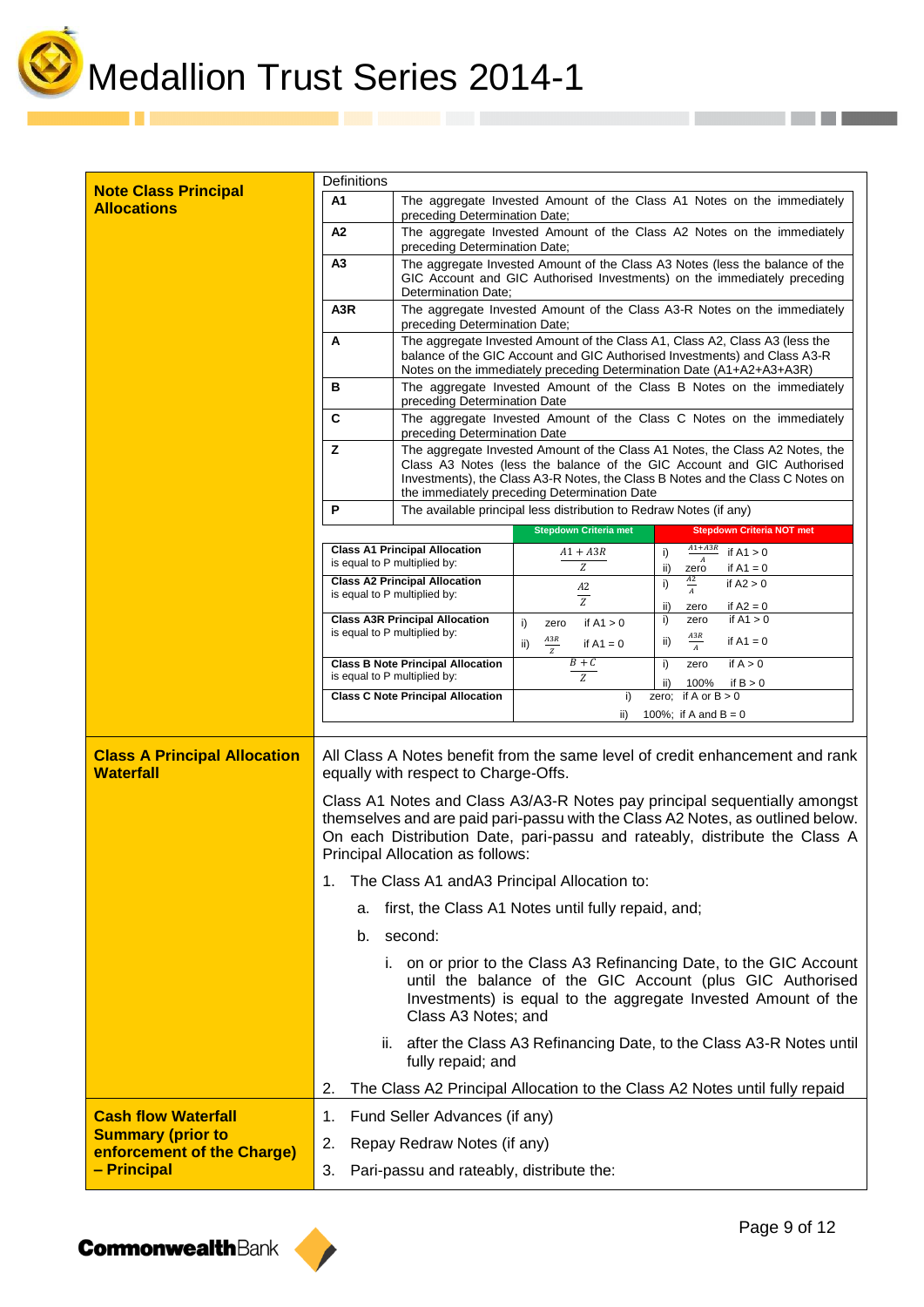

a ka

| <b>Note Class Principal</b><br><b>Allocations</b>       | A1                                                                                                                   | preceding Determination Date;                                                                                                                                                                                                                                                            |                                                                                                                                                                                                                                                                                                           | The aggregate Invested Amount of the Class A1 Notes on the immediately                                                                                                                            |  |  |
|---------------------------------------------------------|----------------------------------------------------------------------------------------------------------------------|------------------------------------------------------------------------------------------------------------------------------------------------------------------------------------------------------------------------------------------------------------------------------------------|-----------------------------------------------------------------------------------------------------------------------------------------------------------------------------------------------------------------------------------------------------------------------------------------------------------|---------------------------------------------------------------------------------------------------------------------------------------------------------------------------------------------------|--|--|
|                                                         | A2                                                                                                                   | preceding Determination Date;                                                                                                                                                                                                                                                            |                                                                                                                                                                                                                                                                                                           | The aggregate Invested Amount of the Class A2 Notes on the immediately                                                                                                                            |  |  |
|                                                         | А3<br>Determination Date:                                                                                            |                                                                                                                                                                                                                                                                                          | The aggregate Invested Amount of the Class A3 Notes (less the balance of the<br>GIC Account and GIC Authorised Investments) on the immediately preceding                                                                                                                                                  |                                                                                                                                                                                                   |  |  |
|                                                         | A <sub>3</sub> R<br>preceding Determination Date;                                                                    |                                                                                                                                                                                                                                                                                          | The aggregate Invested Amount of the Class A3-R Notes on the immediately                                                                                                                                                                                                                                  |                                                                                                                                                                                                   |  |  |
|                                                         | A<br>в<br>preceding Determination Date<br>C<br>preceding Determination Date                                          |                                                                                                                                                                                                                                                                                          | The aggregate Invested Amount of the Class A1, Class A2, Class A3 (less the<br>balance of the GIC Account and GIC Authorised Investments) and Class A3-R<br>Notes on the immediately preceding Determination Date (A1+A2+A3+A3R)<br>The aggregate Invested Amount of the Class B Notes on the immediately |                                                                                                                                                                                                   |  |  |
|                                                         |                                                                                                                      |                                                                                                                                                                                                                                                                                          |                                                                                                                                                                                                                                                                                                           |                                                                                                                                                                                                   |  |  |
|                                                         |                                                                                                                      |                                                                                                                                                                                                                                                                                          |                                                                                                                                                                                                                                                                                                           | The aggregate Invested Amount of the Class C Notes on the immediately                                                                                                                             |  |  |
|                                                         | z                                                                                                                    | The aggregate Invested Amount of the Class A1 Notes, the Class A2 Notes, the<br>Class A3 Notes (less the balance of the GIC Account and GIC Authorised<br>Investments), the Class A3-R Notes, the Class B Notes and the Class C Notes on<br>the immediately preceding Determination Date |                                                                                                                                                                                                                                                                                                           |                                                                                                                                                                                                   |  |  |
|                                                         | P                                                                                                                    |                                                                                                                                                                                                                                                                                          | The available principal less distribution to Redraw Notes (if any)                                                                                                                                                                                                                                        |                                                                                                                                                                                                   |  |  |
|                                                         |                                                                                                                      |                                                                                                                                                                                                                                                                                          | <b>Stepdown Criteria met</b>                                                                                                                                                                                                                                                                              | <b>Stepdown Criteria NOT met</b>                                                                                                                                                                  |  |  |
|                                                         | is equal to P multiplied by:                                                                                         | <b>Class A1 Principal Allocation</b>                                                                                                                                                                                                                                                     | $A1 + A3R$<br>Z                                                                                                                                                                                                                                                                                           | $A1+A3R$<br>if $A1 > 0$<br>i)<br>if $A1 = 0$<br>ii)<br>zero                                                                                                                                       |  |  |
|                                                         | is equal to P multiplied by:                                                                                         | <b>Class A2 Principal Allocation</b>                                                                                                                                                                                                                                                     | $\it{A2}$                                                                                                                                                                                                                                                                                                 | $\frac{A2}{A}$<br>i)<br>if $A2 > 0$                                                                                                                                                               |  |  |
|                                                         |                                                                                                                      | <b>Class A3R Principal Allocation</b>                                                                                                                                                                                                                                                    | $\overline{z}$                                                                                                                                                                                                                                                                                            | ii)<br>if $A2 = 0$<br>if $A1 > 0$<br>zero<br>i)<br>zero                                                                                                                                           |  |  |
|                                                         | is equal to P multiplied by:                                                                                         |                                                                                                                                                                                                                                                                                          | if $A1 > 0$<br>i)<br>zero<br>$\frac{A3R}{Z}$<br>ii)<br>if $A1 = 0$                                                                                                                                                                                                                                        | $\frac{A3R}{A}$<br>if $A1 = 0$<br>ii)                                                                                                                                                             |  |  |
|                                                         | is equal to P multiplied by:                                                                                         | <b>Class B Note Principal Allocation</b>                                                                                                                                                                                                                                                 | $B + C$<br>Z                                                                                                                                                                                                                                                                                              | if $A > 0$<br>i)<br>zero                                                                                                                                                                          |  |  |
|                                                         |                                                                                                                      | <b>Class C Note Principal Allocation</b>                                                                                                                                                                                                                                                 | i)                                                                                                                                                                                                                                                                                                        | 100%<br>if $B > 0$<br>ii)<br>zero; if A or $B > 0$                                                                                                                                                |  |  |
|                                                         |                                                                                                                      |                                                                                                                                                                                                                                                                                          | ii)                                                                                                                                                                                                                                                                                                       | 100%; if A and $B = 0$                                                                                                                                                                            |  |  |
| <b>Class A Principal Allocation</b><br><b>Waterfall</b> | All Class A Notes benefit from the same level of credit enhancement and rank<br>equally with respect to Charge-Offs. |                                                                                                                                                                                                                                                                                          |                                                                                                                                                                                                                                                                                                           |                                                                                                                                                                                                   |  |  |
|                                                         |                                                                                                                      | Class A1 Notes and Class A3/A3-R Notes pay principal sequentially amongst<br>themselves and are paid pari-passu with the Class A2 Notes, as outlined below.<br>On each Distribution Date, pari-passu and rateably, distribute the Class A                                                |                                                                                                                                                                                                                                                                                                           |                                                                                                                                                                                                   |  |  |
|                                                         | Principal Allocation as follows:                                                                                     |                                                                                                                                                                                                                                                                                          |                                                                                                                                                                                                                                                                                                           |                                                                                                                                                                                                   |  |  |
|                                                         | 1.                                                                                                                   |                                                                                                                                                                                                                                                                                          |                                                                                                                                                                                                                                                                                                           |                                                                                                                                                                                                   |  |  |
|                                                         | a.                                                                                                                   |                                                                                                                                                                                                                                                                                          | The Class A1 and A3 Principal Allocation to:<br>first, the Class A1 Notes until fully repaid, and;                                                                                                                                                                                                        |                                                                                                                                                                                                   |  |  |
|                                                         | b.                                                                                                                   | second:                                                                                                                                                                                                                                                                                  |                                                                                                                                                                                                                                                                                                           |                                                                                                                                                                                                   |  |  |
|                                                         |                                                                                                                      | Class A3 Notes; and                                                                                                                                                                                                                                                                      |                                                                                                                                                                                                                                                                                                           | i. on or prior to the Class A3 Refinancing Date, to the GIC Account<br>until the balance of the GIC Account (plus GIC Authorised<br>Investments) is equal to the aggregate Invested Amount of the |  |  |
|                                                         |                                                                                                                      | fully repaid; and                                                                                                                                                                                                                                                                        |                                                                                                                                                                                                                                                                                                           | ii. after the Class A3 Refinancing Date, to the Class A3-R Notes until                                                                                                                            |  |  |
|                                                         | 2.                                                                                                                   |                                                                                                                                                                                                                                                                                          |                                                                                                                                                                                                                                                                                                           | The Class A2 Principal Allocation to the Class A2 Notes until fully repaid                                                                                                                        |  |  |
| <b>Cash flow Waterfall</b>                              | 1.                                                                                                                   | Fund Seller Advances (if any)                                                                                                                                                                                                                                                            |                                                                                                                                                                                                                                                                                                           |                                                                                                                                                                                                   |  |  |
| <b>Summary (prior to</b><br>enforcement of the Charge)  | 2.                                                                                                                   | Repay Redraw Notes (if any)                                                                                                                                                                                                                                                              |                                                                                                                                                                                                                                                                                                           |                                                                                                                                                                                                   |  |  |

**CormonwealthBank** 

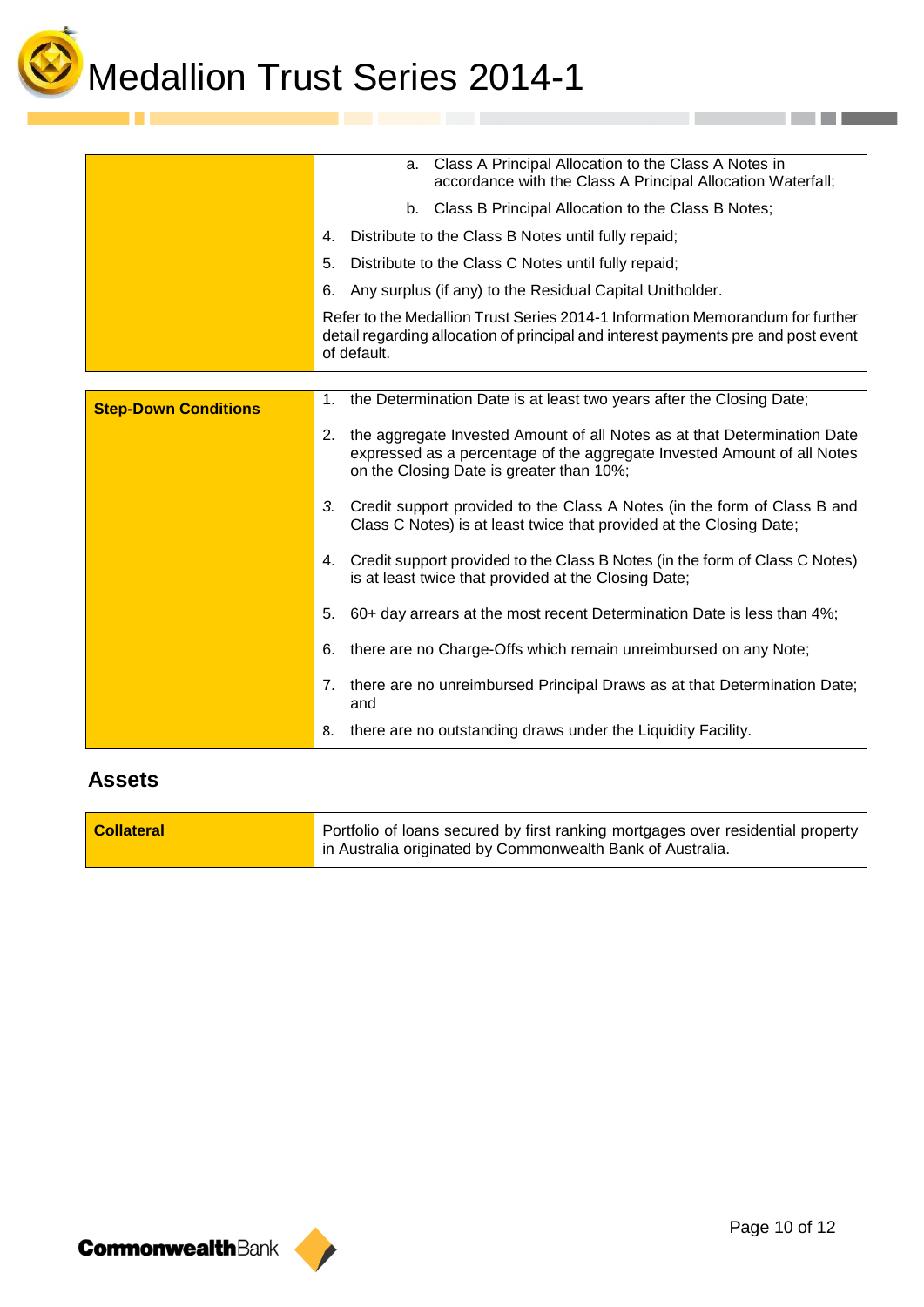

|                             | a. Class A Principal Allocation to the Class A Notes in<br>accordance with the Class A Principal Allocation Waterfall;                                                                             |  |  |
|-----------------------------|----------------------------------------------------------------------------------------------------------------------------------------------------------------------------------------------------|--|--|
|                             | b. Class B Principal Allocation to the Class B Notes;                                                                                                                                              |  |  |
|                             | Distribute to the Class B Notes until fully repaid;<br>4.                                                                                                                                          |  |  |
|                             | Distribute to the Class C Notes until fully repaid;<br>5.                                                                                                                                          |  |  |
|                             | Any surplus (if any) to the Residual Capital Unitholder.                                                                                                                                           |  |  |
|                             | Refer to the Medallion Trust Series 2014-1 Information Memorandum for further<br>detail regarding allocation of principal and interest payments pre and post event<br>of default.                  |  |  |
|                             |                                                                                                                                                                                                    |  |  |
| <b>Step-Down Conditions</b> | the Determination Date is at least two years after the Closing Date;<br>1.                                                                                                                         |  |  |
|                             | 2. the aggregate Invested Amount of all Notes as at that Determination Date<br>expressed as a percentage of the aggregate Invested Amount of all Notes<br>on the Closing Date is greater than 10%; |  |  |
|                             | 3. Credit support provided to the Class A Notes (in the form of Class B and<br>Class C Notes) is at least twice that provided at the Closing Date;                                                 |  |  |
|                             | 4. Credit support provided to the Class B Notes (in the form of Class C Notes)<br>is at least twice that provided at the Closing Date;                                                             |  |  |
|                             | 60+ day arrears at the most recent Determination Date is less than 4%;<br>5.                                                                                                                       |  |  |
|                             | there are no Charge-Offs which remain unreimbursed on any Note;<br>6.                                                                                                                              |  |  |
|                             | 7. there are no unreimbursed Principal Draws as at that Determination Date;<br>and                                                                                                                 |  |  |
|                             | there are no outstanding draws under the Liquidity Facility.<br>8.                                                                                                                                 |  |  |

## **Assets**



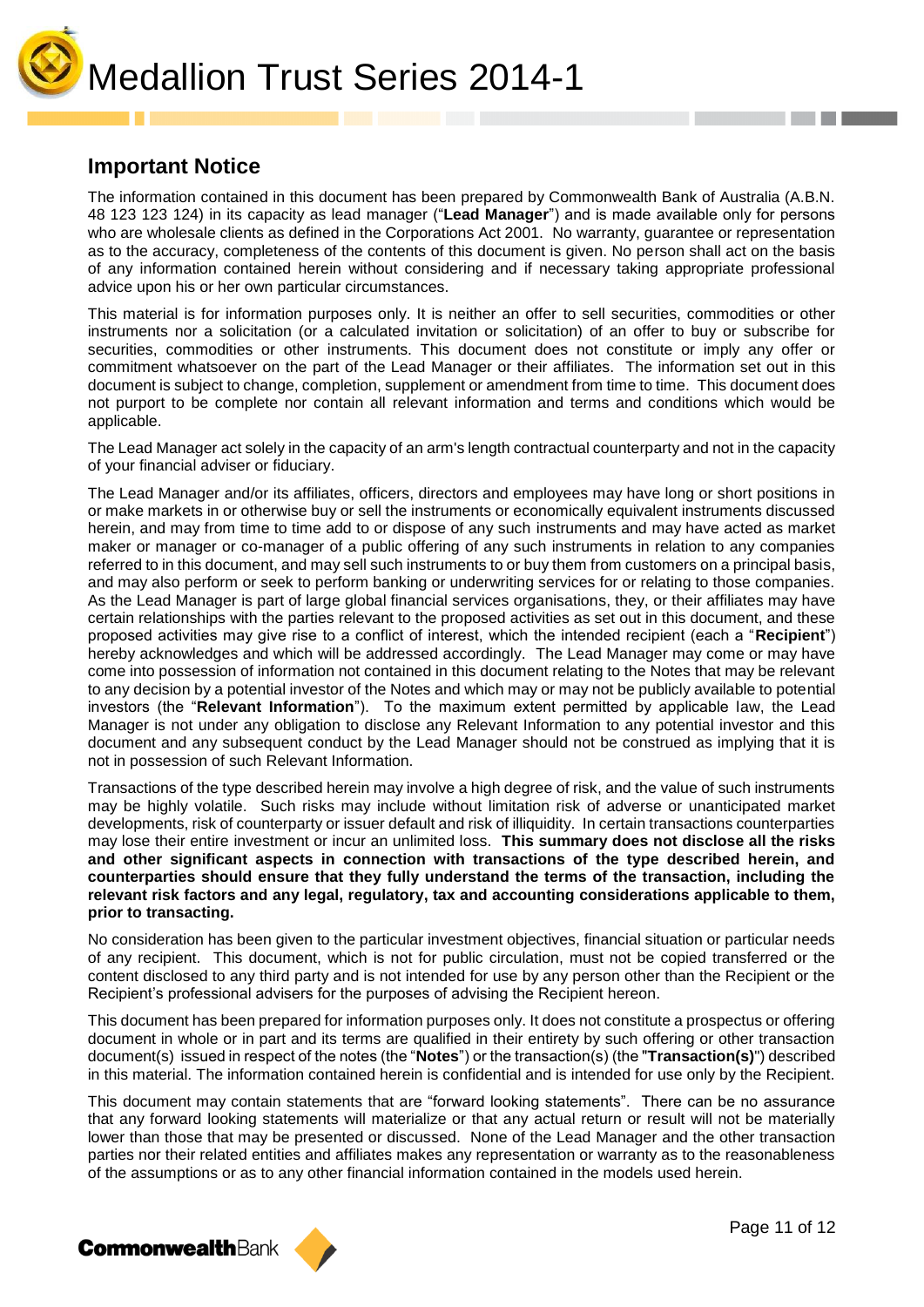Medallion Trust Series 2014-1

### **Important Notice**

The information contained in this document has been prepared by Commonwealth Bank of Australia (A.B.N. 48 123 123 124) in its capacity as lead manager ("**Lead Manager**") and is made available only for persons who are wholesale clients as defined in the Corporations Act 2001. No warranty, guarantee or representation as to the accuracy, completeness of the contents of this document is given. No person shall act on the basis of any information contained herein without considering and if necessary taking appropriate professional advice upon his or her own particular circumstances.

This material is for information purposes only. It is neither an offer to sell securities, commodities or other instruments nor a solicitation (or a calculated invitation or solicitation) of an offer to buy or subscribe for securities, commodities or other instruments. This document does not constitute or imply any offer or commitment whatsoever on the part of the Lead Manager or their affiliates. The information set out in this document is subject to change, completion, supplement or amendment from time to time. This document does not purport to be complete nor contain all relevant information and terms and conditions which would be applicable.

The Lead Manager act solely in the capacity of an arm's length contractual counterparty and not in the capacity of your financial adviser or fiduciary.

The Lead Manager and/or its affiliates, officers, directors and employees may have long or short positions in or make markets in or otherwise buy or sell the instruments or economically equivalent instruments discussed herein, and may from time to time add to or dispose of any such instruments and may have acted as market maker or manager or co-manager of a public offering of any such instruments in relation to any companies referred to in this document, and may sell such instruments to or buy them from customers on a principal basis, and may also perform or seek to perform banking or underwriting services for or relating to those companies. As the Lead Manager is part of large global financial services organisations, they, or their affiliates may have certain relationships with the parties relevant to the proposed activities as set out in this document, and these proposed activities may give rise to a conflict of interest, which the intended recipient (each a "**Recipient**") hereby acknowledges and which will be addressed accordingly. The Lead Manager may come or may have come into possession of information not contained in this document relating to the Notes that may be relevant to any decision by a potential investor of the Notes and which may or may not be publicly available to potential investors (the "**Relevant Information**"). To the maximum extent permitted by applicable law, the Lead Manager is not under any obligation to disclose any Relevant Information to any potential investor and this document and any subsequent conduct by the Lead Manager should not be construed as implying that it is not in possession of such Relevant Information.

Transactions of the type described herein may involve a high degree of risk, and the value of such instruments may be highly volatile. Such risks may include without limitation risk of adverse or unanticipated market developments, risk of counterparty or issuer default and risk of illiquidity. In certain transactions counterparties may lose their entire investment or incur an unlimited loss. **This summary does not disclose all the risks and other significant aspects in connection with transactions of the type described herein, and counterparties should ensure that they fully understand the terms of the transaction, including the relevant risk factors and any legal, regulatory, tax and accounting considerations applicable to them, prior to transacting.**

No consideration has been given to the particular investment objectives, financial situation or particular needs of any recipient. This document, which is not for public circulation, must not be copied transferred or the content disclosed to any third party and is not intended for use by any person other than the Recipient or the Recipient's professional advisers for the purposes of advising the Recipient hereon.

This document has been prepared for information purposes only. It does not constitute a prospectus or offering document in whole or in part and its terms are qualified in their entirety by such offering or other transaction document(s) issued in respect of the notes (the "**Notes**") or the transaction(s) (the "**Transaction(s)**") described in this material. The information contained herein is confidential and is intended for use only by the Recipient.

This document may contain statements that are "forward looking statements". There can be no assurance that any forward looking statements will materialize or that any actual return or result will not be materially lower than those that may be presented or discussed. None of the Lead Manager and the other transaction parties nor their related entities and affiliates makes any representation or warranty as to the reasonableness of the assumptions or as to any other financial information contained in the models used herein.